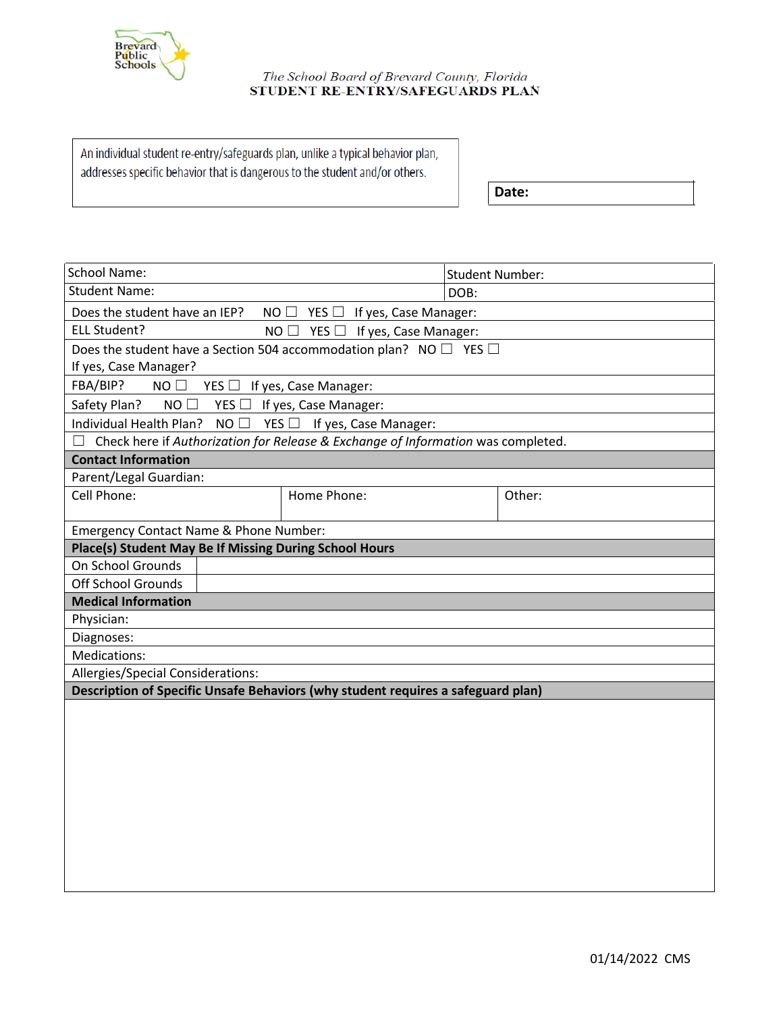

## The School Board of Brevard County, Florida STUDENT RE-ENTRY/SAFEGUARDS PLAN

An individual student re-entry/safeguards plan, unlike a typical behavior plan, addresses specific behavior that is dangerous to the student and/or others.

**Date:**

| <b>School Name:</b>                                                              |  |                                                                                  | <b>Student Number:</b> |        |  |
|----------------------------------------------------------------------------------|--|----------------------------------------------------------------------------------|------------------------|--------|--|
| <b>Student Name:</b>                                                             |  |                                                                                  | DOB:                   |        |  |
| Does the student have an IEP?<br>$NO$ $\Box$<br>$YES \Box$ If yes, Case Manager: |  |                                                                                  |                        |        |  |
| ELL Student?<br>$NO$ $\square$<br>$YES \Box$ If yes, Case Manager:               |  |                                                                                  |                        |        |  |
| Does the student have a Section 504 accommodation plan? NO $\Box$ YES $\Box$     |  |                                                                                  |                        |        |  |
| If yes, Case Manager?                                                            |  |                                                                                  |                        |        |  |
| FBA/BIP?<br>$NO$ $\square$<br>$YES \Box$ If yes, Case Manager:                   |  |                                                                                  |                        |        |  |
| Safety Plan?<br>$NO$ $\square$<br>$YES \Box$ If yes, Case Manager:               |  |                                                                                  |                        |        |  |
| Individual Health Plan?<br>NO<br>$YES$ If yes, Case Manager:                     |  |                                                                                  |                        |        |  |
|                                                                                  |  | Check here if Authorization for Release & Exchange of Information was completed. |                        |        |  |
| <b>Contact Information</b>                                                       |  |                                                                                  |                        |        |  |
| Parent/Legal Guardian:                                                           |  |                                                                                  |                        |        |  |
| Cell Phone:                                                                      |  | Home Phone:                                                                      |                        | Other: |  |
|                                                                                  |  |                                                                                  |                        |        |  |
| Emergency Contact Name & Phone Number:                                           |  |                                                                                  |                        |        |  |
| Place(s) Student May Be If Missing During School Hours                           |  |                                                                                  |                        |        |  |
| On School Grounds                                                                |  |                                                                                  |                        |        |  |
| <b>Off School Grounds</b>                                                        |  |                                                                                  |                        |        |  |
| <b>Medical Information</b>                                                       |  |                                                                                  |                        |        |  |
| Physician:                                                                       |  |                                                                                  |                        |        |  |
| Diagnoses:                                                                       |  |                                                                                  |                        |        |  |
| Medications:                                                                     |  |                                                                                  |                        |        |  |
| Allergies/Special Considerations:                                                |  |                                                                                  |                        |        |  |
|                                                                                  |  | Description of Specific Unsafe Behaviors (why student requires a safeguard plan) |                        |        |  |
|                                                                                  |  |                                                                                  |                        |        |  |
|                                                                                  |  |                                                                                  |                        |        |  |
|                                                                                  |  |                                                                                  |                        |        |  |
|                                                                                  |  |                                                                                  |                        |        |  |
|                                                                                  |  |                                                                                  |                        |        |  |
|                                                                                  |  |                                                                                  |                        |        |  |
|                                                                                  |  |                                                                                  |                        |        |  |
|                                                                                  |  |                                                                                  |                        |        |  |
|                                                                                  |  |                                                                                  |                        |        |  |
|                                                                                  |  |                                                                                  |                        |        |  |
|                                                                                  |  |                                                                                  |                        |        |  |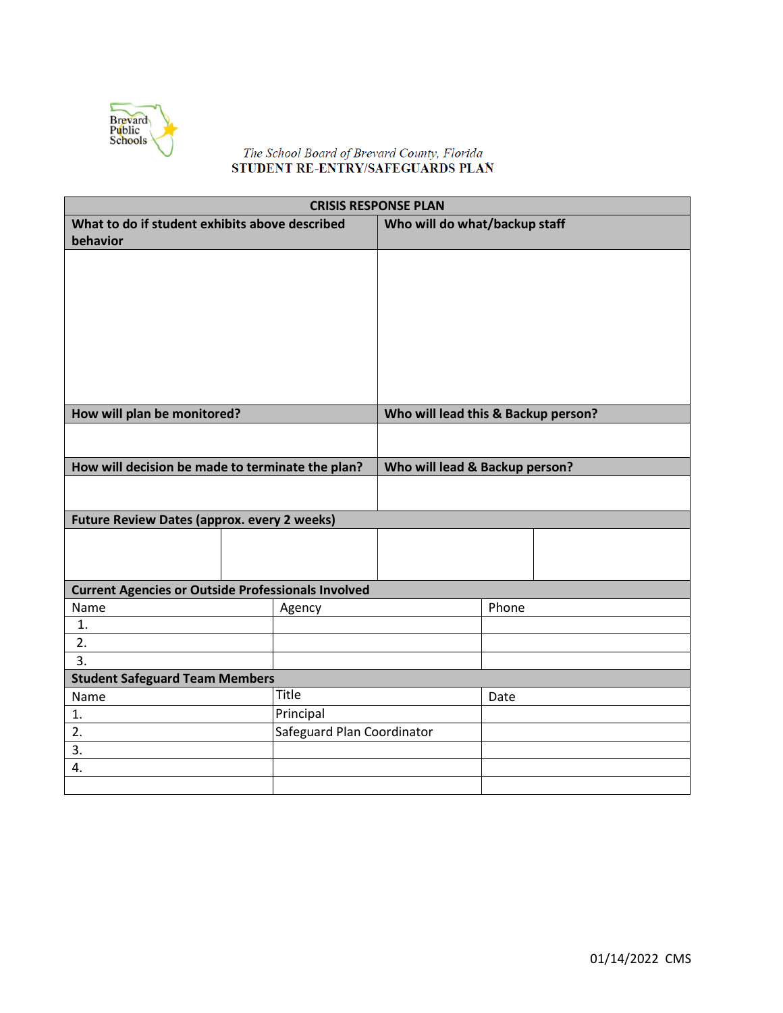

## The School Board of Brevard County, Florida<br>STUDENT RE-ENTRY/SAFEGUARDS PLAN

| <b>CRISIS RESPONSE PLAN</b>                                       |  |                            |                                     |       |  |
|-------------------------------------------------------------------|--|----------------------------|-------------------------------------|-------|--|
| What to do if student exhibits above described<br>behavior        |  |                            | Who will do what/backup staff       |       |  |
|                                                                   |  |                            |                                     |       |  |
|                                                                   |  |                            |                                     |       |  |
|                                                                   |  |                            |                                     |       |  |
|                                                                   |  |                            |                                     |       |  |
|                                                                   |  |                            |                                     |       |  |
|                                                                   |  |                            |                                     |       |  |
|                                                                   |  |                            |                                     |       |  |
|                                                                   |  |                            |                                     |       |  |
| How will plan be monitored?                                       |  |                            | Who will lead this & Backup person? |       |  |
|                                                                   |  |                            |                                     |       |  |
| How will decision be made to terminate the plan?                  |  |                            | Who will lead & Backup person?      |       |  |
|                                                                   |  |                            |                                     |       |  |
|                                                                   |  |                            |                                     |       |  |
| <b>Future Review Dates (approx. every 2 weeks)</b>                |  |                            |                                     |       |  |
|                                                                   |  |                            |                                     |       |  |
|                                                                   |  |                            |                                     |       |  |
|                                                                   |  |                            |                                     |       |  |
| <b>Current Agencies or Outside Professionals Involved</b><br>Name |  |                            |                                     | Phone |  |
| 1.                                                                |  | Agency                     |                                     |       |  |
| 2.                                                                |  |                            |                                     |       |  |
| 3.                                                                |  |                            |                                     |       |  |
| <b>Student Safeguard Team Members</b>                             |  |                            |                                     |       |  |
| Name                                                              |  | <b>Title</b>               |                                     | Date  |  |
| 1.                                                                |  | Principal                  |                                     |       |  |
| 2.                                                                |  | Safeguard Plan Coordinator |                                     |       |  |
| 3.                                                                |  |                            |                                     |       |  |
| 4.                                                                |  |                            |                                     |       |  |
|                                                                   |  |                            |                                     |       |  |